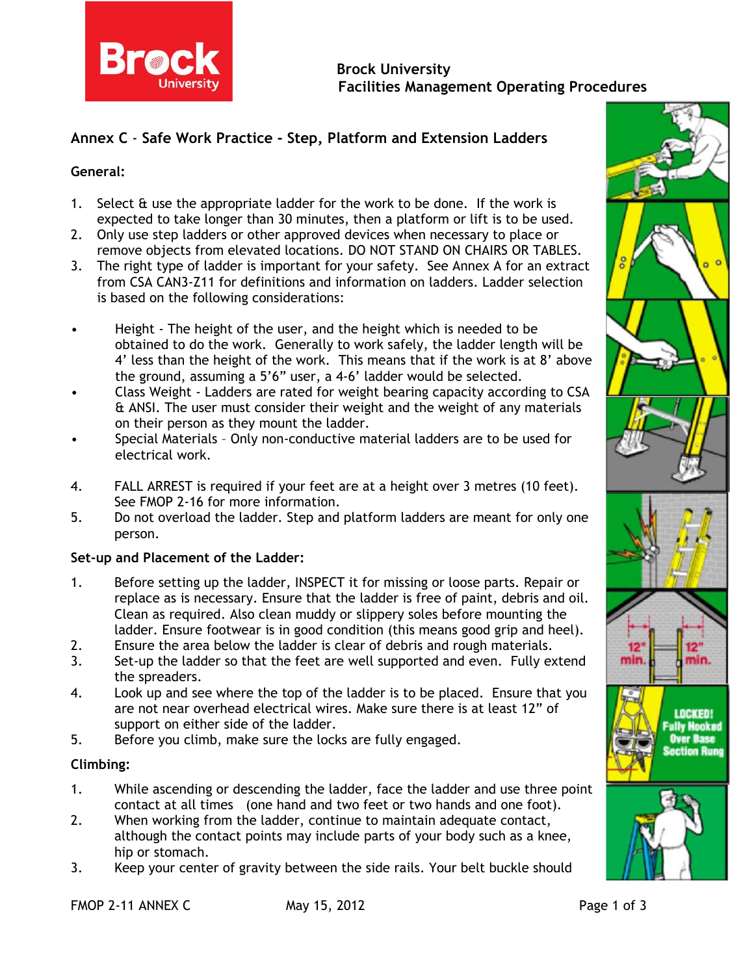

# **Annex C** - **Safe Work Practice - Step, Platform and Extension Ladders**

#### **General:**

- 1. Select & use the appropriate ladder for the work to be done. If the work is expected to take longer than 30 minutes, then a platform or lift is to be used.
- 2. Only use step ladders or other approved devices when necessary to place or remove objects from elevated locations. DO NOT STAND ON CHAIRS OR TABLES.
- 3. The right type of ladder is important for your safety. See Annex A for an extract from CSA CAN3-Z11 for definitions and information on ladders. Ladder selection is based on the following considerations:
- Height The height of the user, and the height which is needed to be obtained to do the work. Generally to work safely, the ladder length will be 4' less than the height of the work. This means that if the work is at 8' above the ground, assuming a 5'6" user, a 4-6' ladder would be selected.
- Class Weight Ladders are rated for weight bearing capacity according to CSA & ANSI. The user must consider their weight and the weight of any materials on their person as they mount the ladder.
- Special Materials Only non-conductive material ladders are to be used for electrical work.
- 4. FALL ARREST is required if your feet are at a height over 3 metres (10 feet). See FMOP 2-16 for more information.
- 5. Do not overload the ladder. Step and platform ladders are meant for only one person.

### **Set-up and Placement of the Ladder:**

- 1. Before setting up the ladder, INSPECT it for missing or loose parts. Repair or replace as is necessary. Ensure that the ladder is free of paint, debris and oil. Clean as required. Also clean muddy or slippery soles before mounting the ladder. Ensure footwear is in good condition (this means good grip and heel).
- 2. Ensure the area below the ladder is clear of debris and rough materials.
- 3. Set-up the ladder so that the feet are well supported and even. Fully extend the spreaders.
- 4. Look up and see where the top of the ladder is to be placed. Ensure that you are not near overhead electrical wires. Make sure there is at least 12" of support on either side of the ladder.
- 5. Before you climb, make sure the locks are fully engaged.

### **Climbing:**

- 1. While ascending or descending the ladder, face the ladder and use three point contact at all times (one hand and two feet or two hands and one foot).
- 2. When working from the ladder, continue to maintain adequate contact, although the contact points may include parts of your body such as a knee, hip or stomach.
- 3. Keep your center of gravity between the side rails. Your belt buckle should



FMOP 2-11 ANNEX C May 15, 2012 2012 **Page 1 of 3**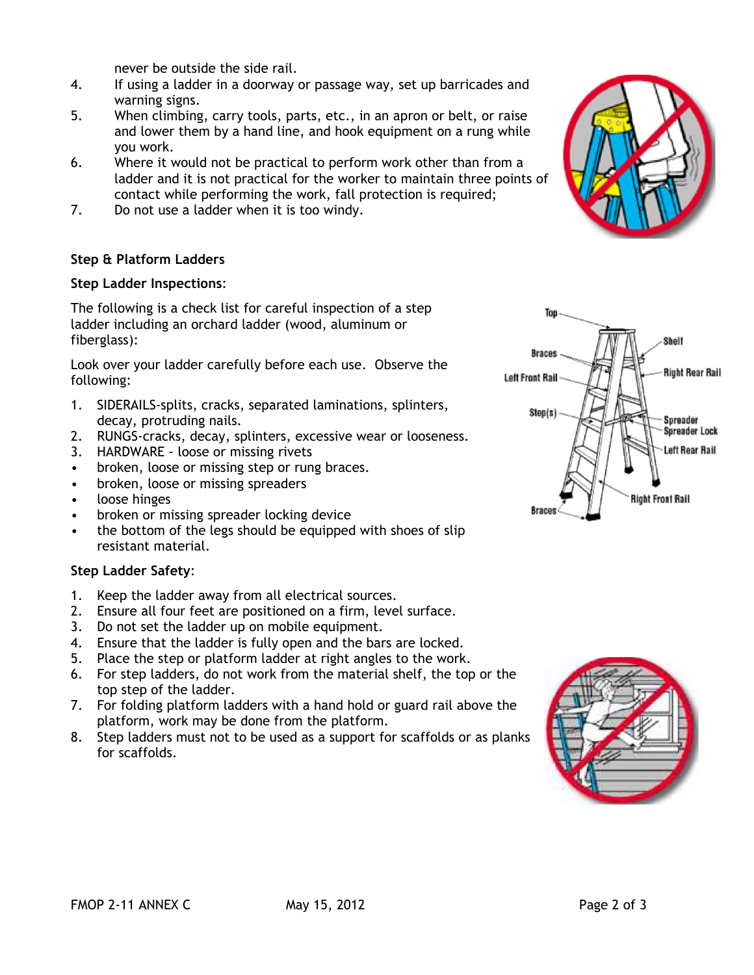never be outside the side rail.

- 4. If using a ladder in a doorway or passage way, set up barricades and warning signs.
- 5. When climbing, carry tools, parts, etc., in an apron or belt, or raise and lower them by a hand line, and hook equipment on a rung while you work.
- 6. Where it would not be practical to perform work other than from a ladder and it is not practical for the worker to maintain three points of contact while performing the work, fall protection is required;
- 7. Do not use a ladder when it is too windy.

## **Step & Platform Ladders**

### **Step Ladder Inspections**:

The following is a check list for careful inspection of a step ladder including an orchard ladder (wood, aluminum or fiberglass):

Look over your ladder carefully before each use. Observe the following:

- 1. SIDERAILS-splits, cracks, separated laminations, splinters, decay, protruding nails.
- 2. RUNGS-cracks, decay, splinters, excessive wear or looseness.
- 3. HARDWARE loose or missing rivets
- broken, loose or missing step or rung braces.
- broken, loose or missing spreaders
- loose hinges
- broken or missing spreader locking device
- the bottom of the legs should be equipped with shoes of slip resistant material.

### **Step Ladder Safety**:

- 1. Keep the ladder away from all electrical sources.
- 2. Ensure all four feet are positioned on a firm, level surface.
- 3. Do not set the ladder up on mobile equipment.
- 4. Ensure that the ladder is fully open and the bars are locked.
- 5. Place the step or platform ladder at right angles to the work.
- 6. For step ladders, do not work from the material shelf, the top or the top step of the ladder.
- 7. For folding platform ladders with a hand hold or guard rail above the platform, work may be done from the platform.
- 8. Step ladders must not to be used as a support for scaffolds or as planks for scaffolds.